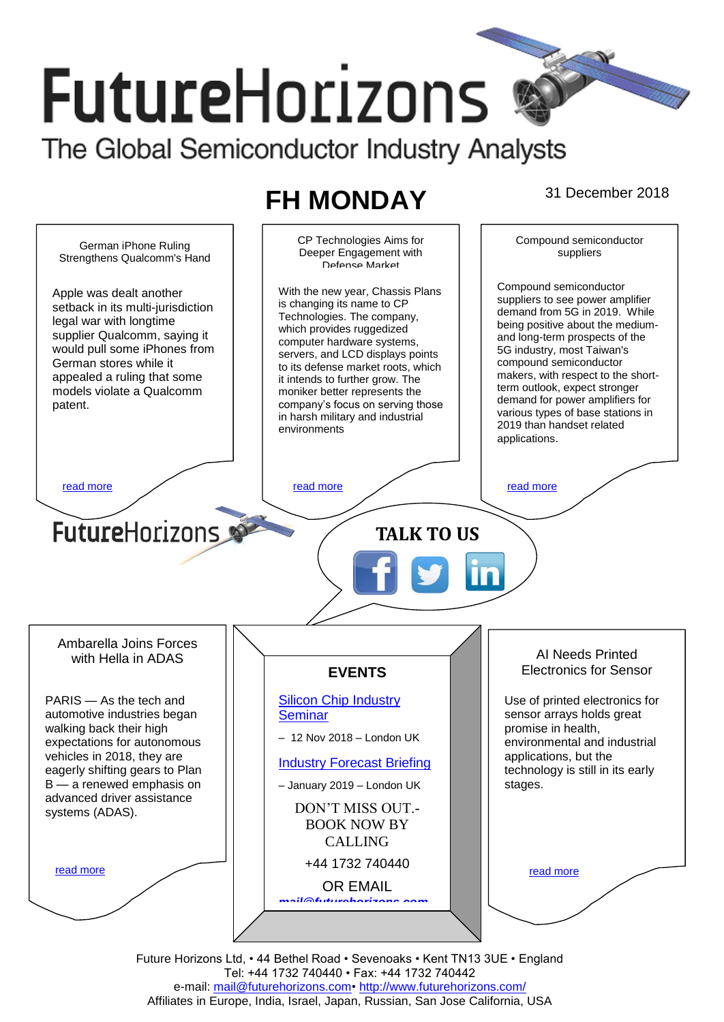# **FutureHorizons** The Global Semiconductor Industry Analysts

## **FH MONDAY** 31 December 2018



Future Horizons Ltd, • 44 Bethel Road • Sevenoaks • Kent TN13 3UE • England Tel: +44 1732 740440 • Fax: +44 1732 740442 e-mail: mail@futurehorizons.com• http://www.futurehorizons.com/ Affiliates in Europe, India, Israel, Japan, Russian, San Jose California, USA